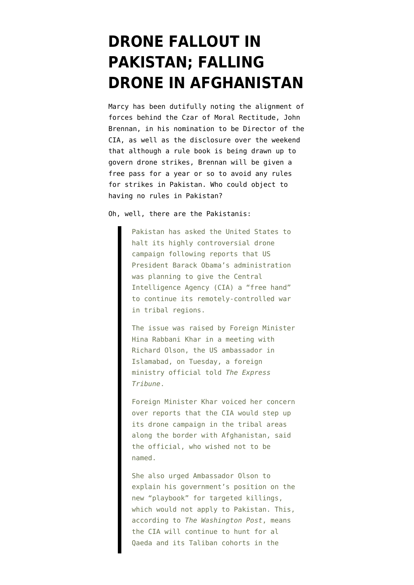## **[DRONE FALLOUT IN](https://www.emptywheel.net/2013/01/23/drone-fallout-in-pakistan-falling-drone-in-afghanistan/) [PAKISTAN; FALLING](https://www.emptywheel.net/2013/01/23/drone-fallout-in-pakistan-falling-drone-in-afghanistan/) [DRONE IN AFGHANISTAN](https://www.emptywheel.net/2013/01/23/drone-fallout-in-pakistan-falling-drone-in-afghanistan/)**

Marcy has been dutifully noting th[e alignment of](http://www.emptywheel.net/2013/01/23/crowd-of-unilateral-lawyers-applaud-unilateral-operator/) [forces behind the Czar of Moral Rectitude,](http://www.emptywheel.net/2013/01/23/crowd-of-unilateral-lawyers-applaud-unilateral-operator/) John Brennan, in his nomination to be Director of the CIA, as well as the disclosure over the weekend that although a rule book is being drawn up to govern drone strikes, [Brennan will be given a](http://www.emptywheel.net/2013/01/19/john-brennans-rules-john-brennan-doesnt-have-to-play-by-the-rules/) [free pass for a year](http://www.emptywheel.net/2013/01/19/john-brennans-rules-john-brennan-doesnt-have-to-play-by-the-rules/) or so to avoid any rules for strikes in Pakistan. Who could object to having no rules in Pakistan?

Oh, well, [there are the Pakistanis](http://tribune.com.pk/story/497799/remote-controlled-war-pakistan-seeks-us-explanation-on-drone-manual/):

Pakistan has asked the United States to halt its highly controversial drone campaign following reports that US President Barack Obama's administration was planning to give the Central Intelligence Agency (CIA) a "free hand" to continue its remotely-controlled war in tribal regions.

The issue was raised by Foreign Minister Hina Rabbani Khar in a meeting with Richard Olson, the US ambassador in Islamabad, on Tuesday, a foreign ministry official told *The Express Tribune*.

Foreign Minister Khar voiced her concern over reports that the CIA would step up its drone campaign in the tribal areas along the border with Afghanistan, said the official, who wished not to be named.

She also urged Ambassador Olson to explain his government's position on the new "playbook" for targeted killings, which would not apply to Pakistan. This, according to *The Washington Post*, means the CIA will continue to hunt for al Qaeda and its Taliban cohorts in the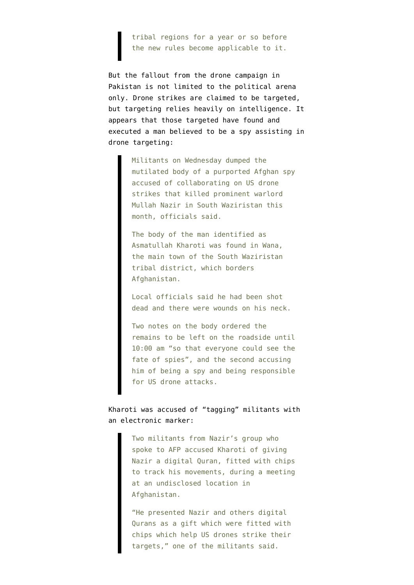tribal regions for a year or so before the new rules become applicable to it.

But the fallout from the drone campaign in Pakistan is not limited to the political arena only. Drone strikes are claimed to be targeted, but targeting relies heavily on intelligence. It appears that those targeted have [found and](http://dawn.com/2013/01/23/body-of-afghan-spy-dumped-in-south-waziristan-officials/) [executed a man believed to be a spy assisting in](http://dawn.com/2013/01/23/body-of-afghan-spy-dumped-in-south-waziristan-officials/) [drone targeting:](http://dawn.com/2013/01/23/body-of-afghan-spy-dumped-in-south-waziristan-officials/)

> Militants on Wednesday dumped the mutilated body of a purported Afghan spy accused of collaborating on US drone strikes that killed prominent warlord Mullah Nazir in South Waziristan this month, officials said.

The body of the man identified as Asmatullah Kharoti was found in Wana, the main town of the South Waziristan tribal district, which borders Afghanistan.

Local officials said he had been shot dead and there were wounds on his neck.

Two notes on the body ordered the remains to be left on the roadside until 10:00 am "so that everyone could see the fate of spies", and the second accusing him of being a spy and being responsible for US drone attacks.

## Kharoti was accused of "tagging" militants with an electronic marker:

Two militants from Nazir's group who spoke to AFP accused Kharoti of giving Nazir a digital Quran, fitted with chips to track his movements, during a meeting at an undisclosed location in Afghanistan.

"He presented Nazir and others digital Qurans as a gift which were fitted with chips which help US drones strike their targets," one of the militants said.